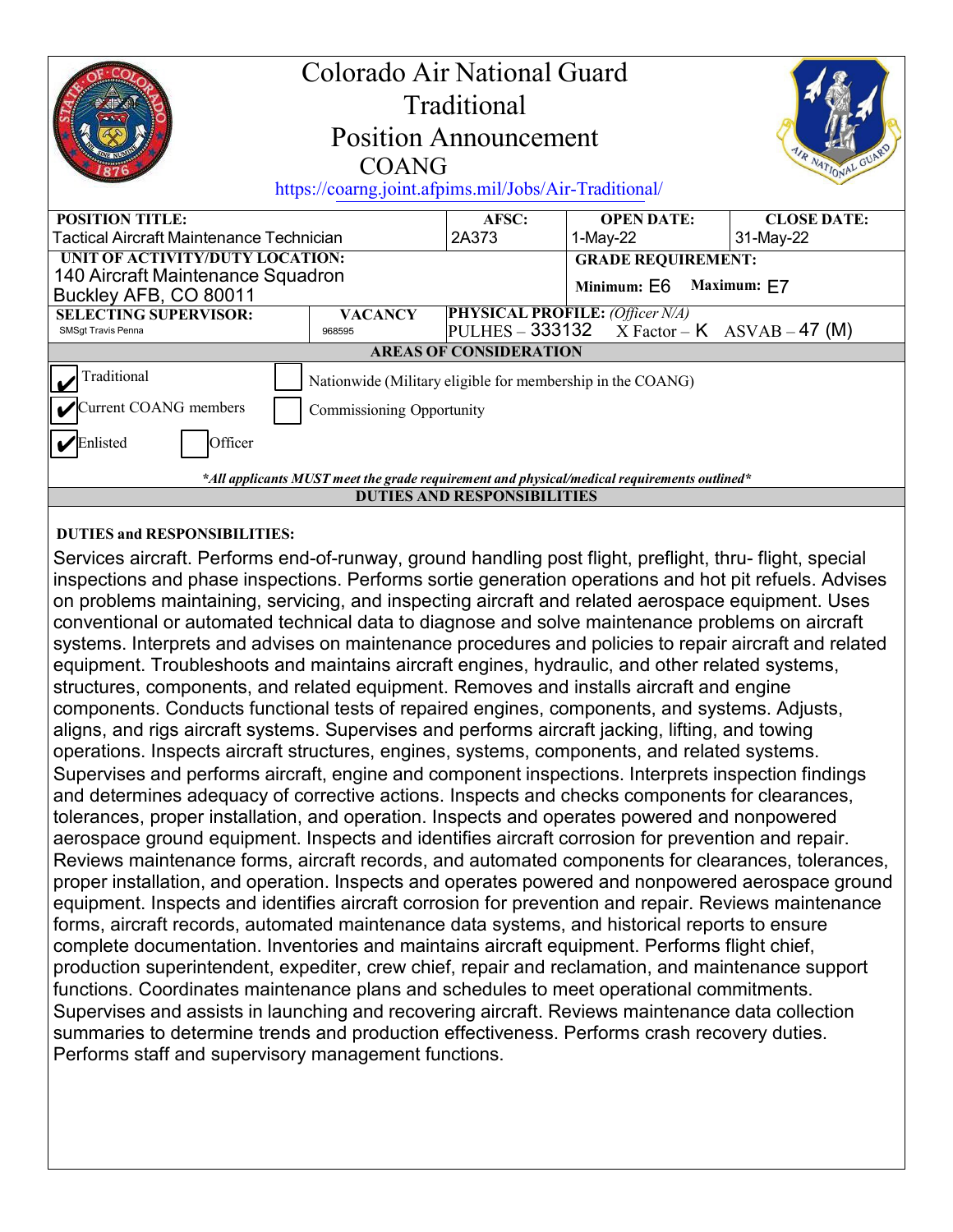| Colorado Air National Guard<br>Traditional<br><b>Position Announcement</b><br><b>AIR NATIONAL GUARY</b><br>COANG<br>https://coarng.joint.afpims.mil/Jobs/Air-Traditional/ |                                                            |                                                    |                               |                                 |
|---------------------------------------------------------------------------------------------------------------------------------------------------------------------------|------------------------------------------------------------|----------------------------------------------------|-------------------------------|---------------------------------|
| <b>POSITION TITLE:</b><br>Tactical Aircraft Maintenance Technician                                                                                                        |                                                            | AFSC:<br>2A373                                     | <b>OPEN DATE:</b><br>1-May-22 | <b>CLOSE DATE:</b><br>31-May-22 |
|                                                                                                                                                                           |                                                            |                                                    |                               |                                 |
| UNIT OF ACTIVITY/DUTY LOCATION:<br>140 Aircraft Maintenance Squadron                                                                                                      |                                                            |                                                    | <b>GRADE REQUIREMENT:</b>     |                                 |
| Buckley AFB, CO 80011                                                                                                                                                     |                                                            |                                                    | Minimum: E6 Maximum: E7       |                                 |
| <b>SELECTING SUPERVISOR:</b>                                                                                                                                              | <b>PHYSICAL PROFILE:</b> (Officer N/A)<br><b>VACANCY</b>   |                                                    |                               |                                 |
| SMSgt Travis Penna                                                                                                                                                        | 968595                                                     | $ PULHES - 333132 \tX Factor - K ASVAB - 47 \t(M)$ |                               |                                 |
| <b>AREAS OF CONSIDERATION</b>                                                                                                                                             |                                                            |                                                    |                               |                                 |
| Traditional                                                                                                                                                               | Nationwide (Military eligible for membership in the COANG) |                                                    |                               |                                 |
| Current COANG members<br>Commissioning Opportunity                                                                                                                        |                                                            |                                                    |                               |                                 |
| Officer<br>Enlisted                                                                                                                                                       |                                                            |                                                    |                               |                                 |
| *All applicants MUST meet the grade requirement and physical/medical requirements outlined*                                                                               |                                                            |                                                    |                               |                                 |
| <b>DUTIES AND RESPONSIBILITIES</b>                                                                                                                                        |                                                            |                                                    |                               |                                 |

## **DUTIES and RESPONSIBILITIES:**

Services aircraft. Performs end-of-runway, ground handling post flight, preflight, thru- flight, special inspections and phase inspections. Performs sortie generation operations and hot pit refuels. Advises on problems maintaining, servicing, and inspecting aircraft and related aerospace equipment. Uses conventional or automated technical data to diagnose and solve maintenance problems on aircraft systems. Interprets and advises on maintenance procedures and policies to repair aircraft and related equipment. Troubleshoots and maintains aircraft engines, hydraulic, and other related systems, structures, components, and related equipment. Removes and installs aircraft and engine components. Conducts functional tests of repaired engines, components, and systems. Adjusts, aligns, and rigs aircraft systems. Supervises and performs aircraft jacking, lifting, and towing operations. Inspects aircraft structures, engines, systems, components, and related systems. Supervises and performs aircraft, engine and component inspections. Interprets inspection findings and determines adequacy of corrective actions. Inspects and checks components for clearances, tolerances, proper installation, and operation. Inspects and operates powered and nonpowered aerospace ground equipment. Inspects and identifies aircraft corrosion for prevention and repair. Reviews maintenance forms, aircraft records, and automated components for clearances, tolerances, proper installation, and operation. Inspects and operates powered and nonpowered aerospace ground equipment. Inspects and identifies aircraft corrosion for prevention and repair. Reviews maintenance forms, aircraft records, automated maintenance data systems, and historical reports to ensure complete documentation. Inventories and maintains aircraft equipment. Performs flight chief, production superintendent, expediter, crew chief, repair and reclamation, and maintenance support functions. Coordinates maintenance plans and schedules to meet operational commitments. Supervises and assists in launching and recovering aircraft. Reviews maintenance data collection summaries to determine trends and production effectiveness. Performs crash recovery duties. Performs staff and supervisory management functions.